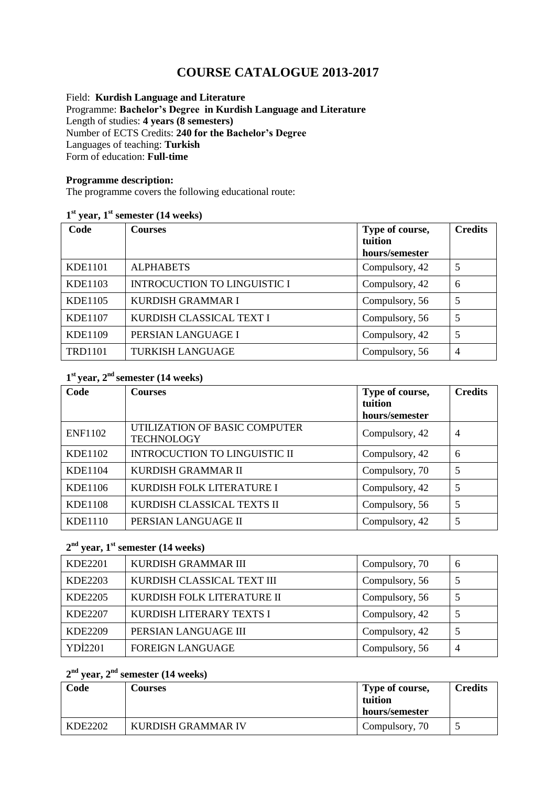# **COURSE CATALOGUE 2013-2017**

Field: **Kurdish Language and Literature** Programme: **Bachelor's Degree in Kurdish Language and Literature** Length of studies: **4 years (8 semesters)**  Number of ECTS Credits: **240 for the Bachelor's Degree** Languages of teaching: **Turkish** Form of education: **Full-time** 

#### **Programme description:**

The programme covers the following educational route:

#### **1 st year, 1st semester (14 weeks)**

| Code           | <b>Courses</b>                      | Type of course,<br>tuition<br>hours/semester | <b>Credits</b> |
|----------------|-------------------------------------|----------------------------------------------|----------------|
| KDE1101        | <b>ALPHABETS</b>                    | Compulsory, 42                               | 5              |
| <b>KDE1103</b> | <b>INTROCUCTION TO LINGUISTIC I</b> | Compulsory, 42                               | 6              |
| <b>KDE1105</b> | KURDISH GRAMMAR I                   | Compulsory, 56                               | 5              |
| <b>KDE1107</b> | KURDISH CLASSICAL TEXT I            | Compulsory, 56                               | 5              |
| <b>KDE1109</b> | PERSIAN LANGUAGE I                  | Compulsory, 42                               | 5              |
| <b>TRD1101</b> | <b>TURKISH LANGUAGE</b>             | Compulsory, 56                               | $\overline{4}$ |

# **1 st year, 2 nd semester (14 weeks)**

| Code           | <b>Courses</b>                                     | Type of course, | <b>Credits</b> |
|----------------|----------------------------------------------------|-----------------|----------------|
|                |                                                    | tuition         |                |
|                |                                                    | hours/semester  |                |
| <b>ENF1102</b> | UTILIZATION OF BASIC COMPUTER<br><b>TECHNOLOGY</b> | Compulsory, 42  | $\overline{4}$ |
| <b>KDE1102</b> | <b>INTROCUCTION TO LINGUISTIC II</b>               | Compulsory, 42  | 6              |
| <b>KDE1104</b> | KURDISH GRAMMAR II                                 | Compulsory, 70  | 5              |
| KDE1106        | KURDISH FOLK LITERATURE I                          | Compulsory, 42  | 5              |
| <b>KDE1108</b> | KURDISH CLASSICAL TEXTS II                         | Compulsory, 56  | 5              |
| <b>KDE1110</b> | PERSIAN LANGUAGE II                                | Compulsory, 42  | 5              |

### **2 nd year, 1st semester (14 weeks)**

| <b>KDE2201</b> | KURDISH GRAMMAR III        | Compulsory, 70 | -6 |
|----------------|----------------------------|----------------|----|
| KDE2203        | KURDISH CLASSICAL TEXT III | Compulsory, 56 |    |
| <b>KDE2205</b> | KURDISH FOLK LITERATURE II | Compulsory, 56 |    |
| <b>KDE2207</b> | KURDISH LITERARY TEXTS I   | Compulsory, 42 |    |
| <b>KDE2209</b> | PERSIAN LANGUAGE III       | Compulsory, 42 |    |
| <b>YDİ2201</b> | FOREIGN LANGUAGE           | Compulsory, 56 | 4  |

# **2 nd year, 2 nd semester (14 weeks)**

| Code    | <b>Courses</b>            | Type of course,<br>tuition<br>hours/semester | <b>Credits</b> |
|---------|---------------------------|----------------------------------------------|----------------|
| KDE2202 | <b>KURDISH GRAMMAR IV</b> | Compulsory, 70                               |                |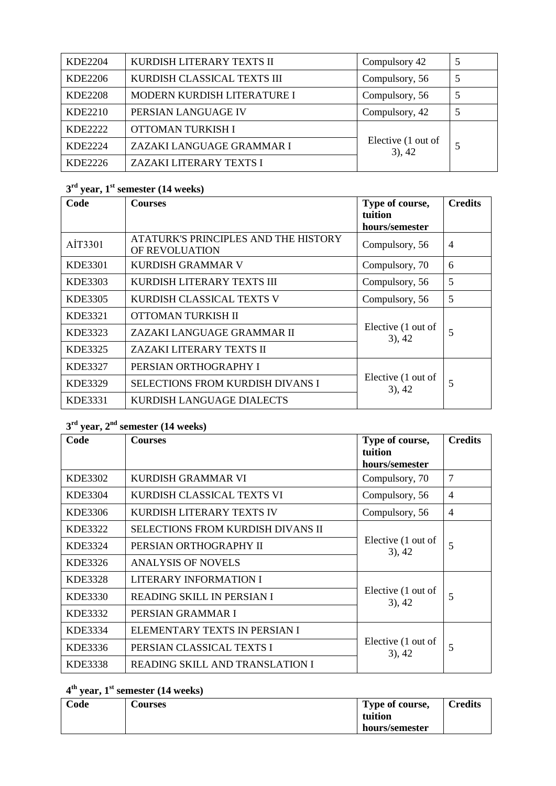| <b>KDE2204</b> | KURDISH LITERARY TEXTS II          | Compulsory 42                   |   |
|----------------|------------------------------------|---------------------------------|---|
| KDE2206        | KURDISH CLASSICAL TEXTS III        | Compulsory, 56                  | 5 |
| <b>KDE2208</b> | <b>MODERN KURDISH LITERATURE I</b> | Compulsory, 56                  |   |
| KDE2210        | PERSIAN LANGUAGE IV                | Compulsory, 42                  |   |
| <b>KDE2222</b> | OTTOMAN TURKISH I                  |                                 |   |
| <b>KDE2224</b> | ZAZAKI LANGUAGE GRAMMAR I          | Elective (1 out of<br>$3)$ , 42 |   |
| KDE2226        | ZAZAKI LITERARY TEXTS I            |                                 |   |

# **3 rd year, 1 st semester (14 weeks)**

| Code    | <b>Courses</b>                                         | Type of course,<br>tuition      | <b>Credits</b> |
|---------|--------------------------------------------------------|---------------------------------|----------------|
|         |                                                        | hours/semester                  |                |
| AİT3301 | ATATURK'S PRINCIPLES AND THE HISTORY<br>OF REVOLUATION | Compulsory, 56                  | $\overline{4}$ |
| KDE3301 | KURDISH GRAMMAR V                                      | Compulsory, 70                  | 6              |
| KDE3303 | KURDISH LITERARY TEXTS III                             | Compulsory, 56                  | 5              |
| KDE3305 | KURDISH CLASSICAL TEXTS V                              | Compulsory, 56                  | 5              |
| KDE3321 | OTTOMAN TURKISH II                                     |                                 |                |
| KDE3323 | ZAZAKI LANGUAGE GRAMMAR II                             | Elective (1 out of<br>$3)$ , 42 | 5              |
| KDE3325 | ZAZAKI LITERARY TEXTS II                               |                                 |                |
| KDE3327 | PERSIAN ORTHOGRAPHY I                                  |                                 |                |
| KDE3329 | <b>SELECTIONS FROM KURDISH DIVANS I</b>                | Elective (1 out of<br>$3)$ , 42 | 5              |
| KDE3331 | KURDISH LANGUAGE DIALECTS                              |                                 |                |

# **3 rd year, 2 nd semester (14 weeks)**

| Code    | <b>Courses</b>                    | Type of course,<br>tuition      | <b>Credits</b> |
|---------|-----------------------------------|---------------------------------|----------------|
|         |                                   | hours/semester                  |                |
| KDE3302 | KURDISH GRAMMAR VI                | Compulsory, 70                  | 7              |
| KDE3304 | KURDISH CLASSICAL TEXTS VI        | Compulsory, 56                  | 4              |
| KDE3306 | KURDISH LITERARY TEXTS IV         | Compulsory, 56                  | 4              |
| KDE3322 | SELECTIONS FROM KURDISH DIVANS II | Elective (1 out of<br>$3)$ , 42 | 5              |
| KDE3324 | PERSIAN ORTHOGRAPHY II            |                                 |                |
| KDE3326 | <b>ANALYSIS OF NOVELS</b>         |                                 |                |
| KDE3328 | <b>LITERARY INFORMATION I</b>     |                                 | 5              |
| KDE3330 | READING SKILL IN PERSIAN I        | Elective (1 out of<br>$3)$ , 42 |                |
| KDE3332 | PERSIAN GRAMMAR I                 |                                 |                |
| KDE3334 | ELEMENTARY TEXTS IN PERSIAN I     | Elective (1 out of<br>$3)$ , 42 | 5              |
| KDE3336 | PERSIAN CLASSICAL TEXTS I         |                                 |                |
| KDE3338 | READING SKILL AND TRANSLATION I   |                                 |                |

### **4 th year, 1 st semester (14 weeks)**

| Code | <b>Courses</b> | Type of course, | <b>Credits</b> |
|------|----------------|-----------------|----------------|
|      |                | tuition         |                |
|      |                | hours/semester  |                |